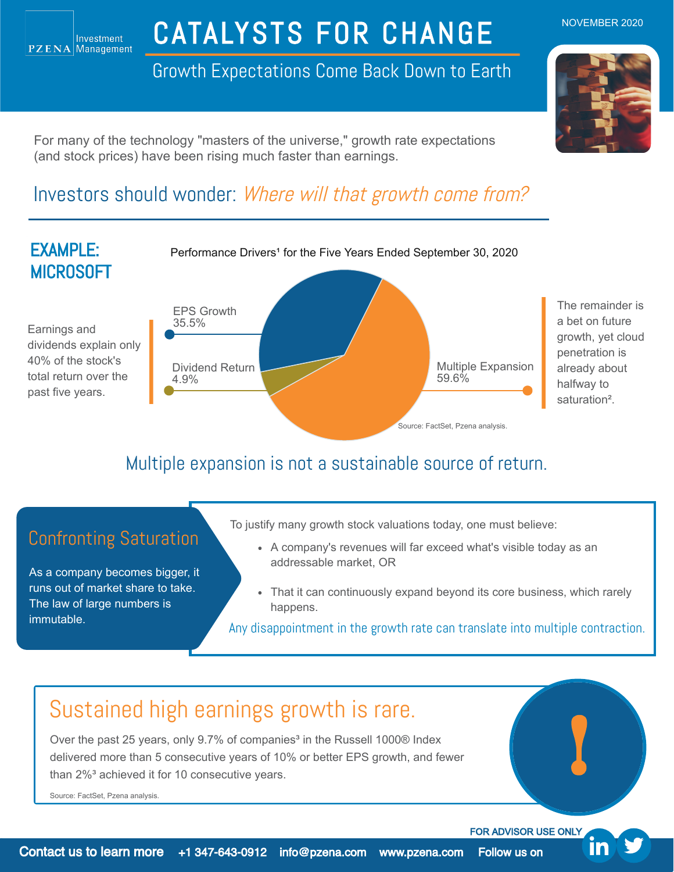# CATALYSTS FOR CHANGE

Growth Expectations Come Back Down to Earth



NOVEMBER 2020

For many of the technology "masters of the universe," growth rate expectations (and stock prices) have been rising much faster than earnings.

### Investors should wonder: Where will that growth come from?



### Multiple expansion is not a sustainable source of return.

As a company becomes bigger, it runs out of market share to take. The law of large numbers is immutable.

- To justify many growth stock valuations today, one must believe:
- Confronting Saturation <br>A company's revenues will far exceed what's visible today as an addressable market, OR
	- That it can continuously expand beyond its core business, which rarely happens.

Any disappointment in the growth rate can translate into multiple contraction.

## Sustained high earnings growth is rare.

Over the past 25 years, only 9.7% of companies<sup>3</sup> in the Russell 1000® Index delivered more than 5 consecutive years of 10% or better EPS growth, and fewer than 2%<sup>3</sup> achieved it for 10 consecutive years.

Source: FactSet, Pzena analysis.

FOR ADVISOR USE ONLY

!